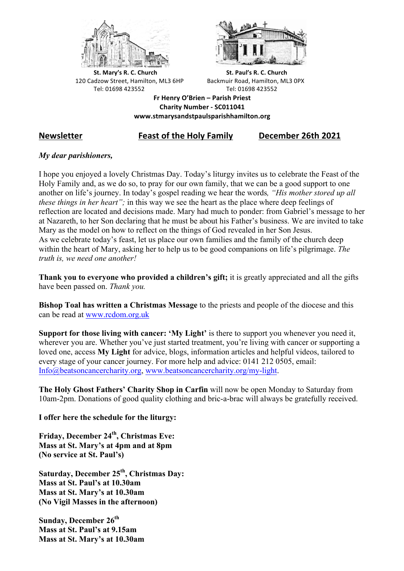



**St.** Mary's R. C. Church St. Paul's R. C. Church 120 Cadzow Street, Hamilton, ML3 6HP Backmuir Road, Hamilton, ML3 0PX Tel: 01698 423552 Tel: 01698 423552

**Fr Henry O'Brien – Parish Priest Charity Number - SC011041 www.stmarysandstpaulsparishhamilton.org**

# **Newsletter Feast of the Holy Family December 26th 2021**

## *My dear parishioners,*

I hope you enjoyed a lovely Christmas Day. Today's liturgy invites us to celebrate the Feast of the Holy Family and, as we do so, to pray for our own family, that we can be a good support to one another on life's journey. In today's gospel reading we hear the words*, "His mother stored up all these things in her heart";* in this way we see the heart as the place where deep feelings of reflection are located and decisions made. Mary had much to ponder: from Gabriel's message to her at Nazareth, to her Son declaring that he must be about his Father's business. We are invited to take Mary as the model on how to reflect on the things of God revealed in her Son Jesus. As we celebrate today's feast, let us place our own families and the family of the church deep within the heart of Mary, asking her to help us to be good companions on life's pilgrimage. *The truth is, we need one another!*

**Thank you to everyone who provided a children's gift;** it is greatly appreciated and all the gifts have been passed on. *Thank you.*

**Bishop Toal has written a Christmas Message** to the priests and people of the diocese and this can be read at www.rcdom.org.uk

**Support for those living with cancer: 'My Light'** is there to support you whenever you need it, wherever you are. Whether you've just started treatment, you're living with cancer or supporting a loved one, access **My Light** for advice, blogs, information articles and helpful videos, tailored to every stage of your cancer journey. For more help and advice: 0141 212 0505, email: Info@beatsoncancercharity.org, www.beatsoncancercharity.org/my-light.

**The Holy Ghost Fathers' Charity Shop in Carfin** will now be open Monday to Saturday from 10am-2pm. Donations of good quality clothing and bric-a-brac will always be gratefully received.

**I offer here the schedule for the liturgy:**

**Friday, December 24th, Christmas Eve: Mass at St. Mary's at 4pm and at 8pm (No service at St. Paul's)**

**Saturday, December 25th, Christmas Day: Mass at St. Paul's at 10.30am Mass at St. Mary's at 10.30am (No Vigil Masses in the afternoon)**

**Sunday, December 26<sup>th</sup> Mass at St. Paul's at 9.15am Mass at St. Mary's at 10.30am**